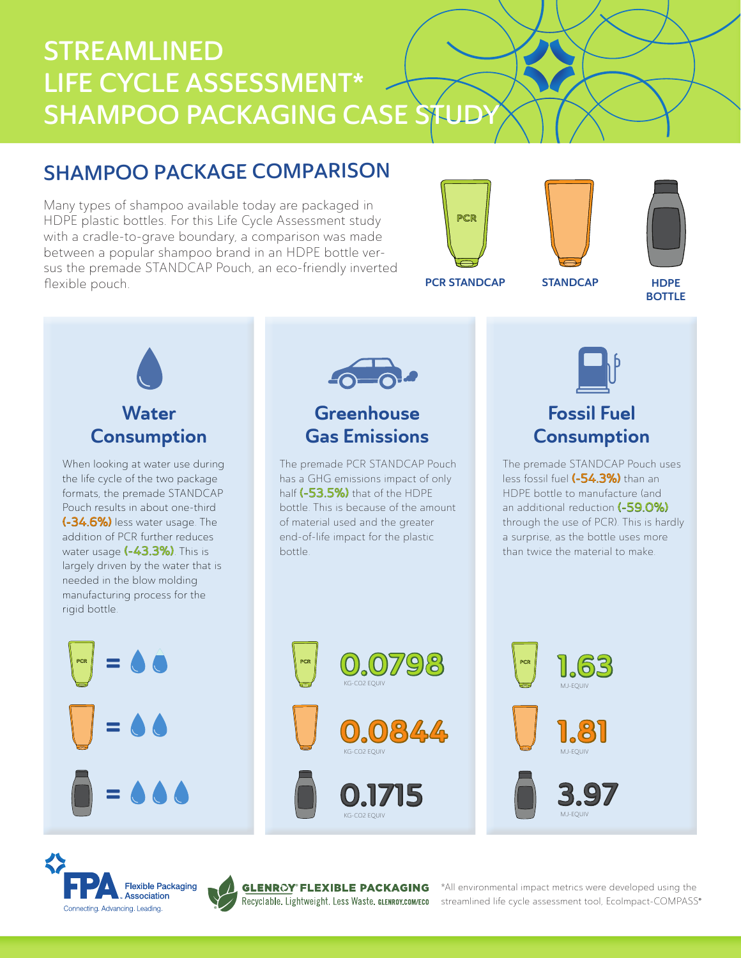# STREAMLINED LIFE CYCLE ASSESSMENT\* SHAMPOO PACKAGING CASE STUD

# SHAMPOO PACKAGE COMPARISON

Many types of shampoo available today are packaged in HDPE plastic bottles. For this Life Cycle Assessment study with a cradle-to-grave boundary, a comparison was made between a popular shampoo brand in an HDPE bottle versus the premade STANDCAP Pouch, an eco-friendly inverted flexible pouch.







PCR STANDCAP STANDCAP

HDPE **BOTTLE** 





# Fossil Fuel **Consumption**

The premade STANDCAP Pouch uses less fossil fuel (-54.3%) than an HDPE bottle to manufacture (and an additional reduction (-59.0%) through the use of PCR). This is hardly a surprise, as the bottle uses more than twice the material to make.

 $|.\,$  63

MJ-EQUIV

MJ-EQUIV

MJ-EQUIV



Connecting, Advancing, Leading,

=



®

KG-CO2 EQUIV

KG-CO2 EQUIV

\*All environmental impact metrics were developed using the streamlined life cycle assessment tool, EcoImpact-COMPASS®

0.1715 0 3.97

0844